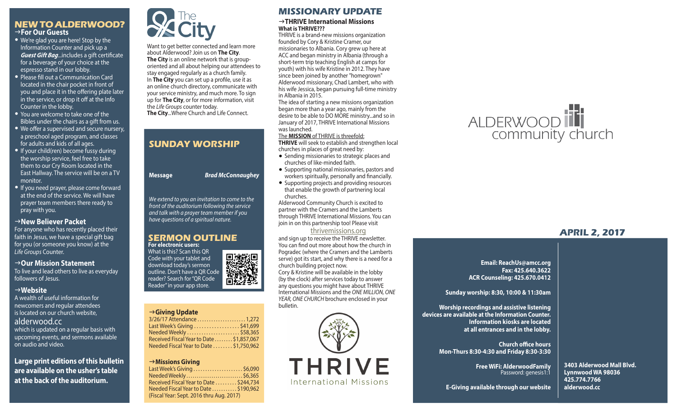### **NEW TO ALDERWOOD?** g**For Our Guests**

- We're glad you are here! Stop by the Information Counter and pick up a *Guest Gift Bag*...includes a gift certificate for a beverage of your choice at the espresso stand in our lobby.
- Please fill out a Communication Card located in the chair pocket in front of you and place it in the offering plate later in the service, or drop it off at the Info Counter in the lobby.
- You are welcome to take one of the Bibles under the chairs as a gift from us.
- We offer a supervised and secure nursery, a preschool aged program, and classes for adults and kids of all ages.
- If your child(ren) become fussy during the worship service, feel free to take them to our Cry Room located in the East Hallway. The service will be on a TV monitor.
- If you need prayer, please come forward at the end of the service. We will have prayer team members there ready to pray with you.

### **New Believer Packet**

For anyone who has recently placed their faith in Jesus, we have a special gift bag for you (or someone you know) at the *Life Groups* Counter.

### → Our Mission Statement

To live and lead others to live as everyday followers of Jesus.

### g**Website**

A wealth of useful information for newcomers and regular attendees is located on our church website, alderwood.cc which is updated on a regular basis with upcoming events, and sermons available on audio and video.

**Large print editions of this bulletin are available on the usher's table at the back of the auditorium.**



Want to get better connected and learn more about Alderwood? Join us on **The City**. **The City** is an online network that is grouporiented and all about helping our attendees to stay engaged regularly as a church family. In **The City** you can set up a profile, use it as an online church directory, communicate with your service ministry, and much more. To sign up for **The City**, or for more information, visit the *Life Groups* counter today. **The City**...Where Church and Life Connect.

# **SUNDAY WORSHIP**

**Message** *Brad McConnaughey*

*We extend to you an invitation to come to the front of the auditorium following the service and talk with a prayer team member if you have questions of a spiritual nature.*

### **SERMON OUTLINE For electronic users:**

What is this? Scan this QR Code with your tablet and download today's sermon outline. Don't have a QR Code reader? Search for "QR Code Reader" in your app store.

### g**Giving Update**

| 3/26/17 Attendance 1,272                  |
|-------------------------------------------|
| Last Week's Giving \$41,699               |
| Needed Weekly \$58,365                    |
| Received Fiscal Year to Date  \$1,857,067 |
| Needed Fiscal Year to Date  \$1,750,962   |
|                                           |

### → Missions Giving

Last Week's Giving . . . . . . . . . . . . . . . . . . . . . \$6,090 Needed Weekly . . . . . . . . . . . . . . . . . . . . . . . . . . . \$6,365 Received Fiscal Year to Date . . . . . . . . . \$244,734 Needed Fiscal Year to Date . . . . . . . . . . . \$190,962 (Fiscal Year: Sept. 2016 thru Aug. 2017)

### **MISSIONARY UPDATE**

### g**THRIVE International Missions What is THRIVE???**

THRIVE is a brand-new missions organization founded by Cory & Kristine Cramer, our missionaries to Albania. Cory grew up here at ACC and began ministry in Albania (through a short-term trip teaching English at camps for youth) with his wife Kristine in 2012. They have since been joined by another "homegrown" Alderwood missionary, Chad Lambert, who with his wife Jessica, began pursuing full-time ministry in Albania in 2015.

The idea of starting a new missions organization began more than a year ago, mainly from the desire to be able to DO MORE ministry...and so in January of 2017, THRIVE International Missions was launched.

### The **MISSION** of THRIVE is threefold:

**THRIVE** will seek to establish and strengthen local churches in places of great need by:

- Sending missionaries to strategic places and churches of like-minded faith.
- Supporting national missionaries, pastors and workers spiritually, personally and financially.
- Supporting projects and providing resources that enable the growth of partnering local churches.

Alderwood Community Church is excited to partner with the Cramers and the Lamberts through THRIVE International Missions. You can join in on this partnership too! Please visit

### thrivemissions.org

and sign up to receive the THRIVE newsletter. You can find out more about how the church in Pogradec (where the Cramers and the Lamberts serve) got its start, and why there is a need for a church building project now.

Cory & Kristine will be available in the lobby (by the clock) after services today to answer any questions you might have about THRIVE International Missions and the *ONE MILLION, ONE YEAR, ONE CHURCH* brochure enclosed in your bulletin.



# ALDERWOOD<sup>17</sup>

# **APRIL 2, 2017**

**Email: ReachUs@amcc.org Fax: 425.640.3622 ACR Counseling: 425.670.0412**

**Sunday worship: 8:30, 10:00 & 11:30am**

**Worship recordings and assistive listening devices are available at the Information Counter. Information kiosks are located at all entrances and in the lobby.**

> **Church office hours Mon-Thurs 8:30-4:30 and Friday 8:30-3:30**

> > **Free WiFi: AlderwoodFamily**  Password: genesis1:1

**3403 Alderwood Mall Blvd. Lynnwood WA 98036 425.774.7766 alderwood.cc** 

**E-Giving available through our website**